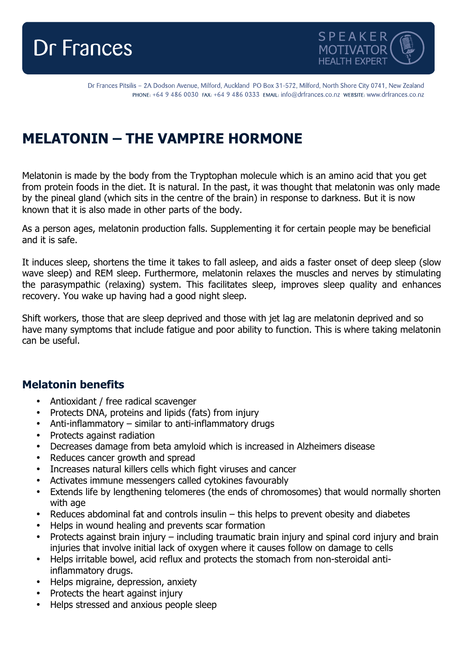



Dr Frances Pitsilis - 2A Dodson Avenue, Milford, Auckland PO Box 31-572, Milford, North Shore City 0741, New Zealand PHONE: +64 9 486 0030 FAX: +64 9 486 0333 EMAIL: info@drfrances.co.nz WEBSITE: www.drfrances.co.nz

## **MELATONIN – THE VAMPIRE HORMONE**

Melatonin is made by the body from the Tryptophan molecule which is an amino acid that you get from protein foods in the diet. It is natural. In the past, it was thought that melatonin was only made by the pineal gland (which sits in the centre of the brain) in response to darkness. But it is now known that it is also made in other parts of the body.

As a person ages, melatonin production falls. Supplementing it for certain people may be beneficial and it is safe.

It induces sleep, shortens the time it takes to fall asleep, and aids a faster onset of deep sleep (slow wave sleep) and REM sleep. Furthermore, melatonin relaxes the muscles and nerves by stimulating the parasympathic (relaxing) system. This facilitates sleep, improves sleep quality and enhances recovery. You wake up having had a good night sleep.

Shift workers, those that are sleep deprived and those with jet lag are melatonin deprived and so have many symptoms that include fatigue and poor ability to function. This is where taking melatonin can be useful.

## **Melatonin benefits**

- Antioxidant / free radical scavenger
- Protects DNA, proteins and lipids (fats) from injury
- Anti-inflammatory similar to anti-inflammatory drugs
- Protects against radiation
- Decreases damage from beta amyloid which is increased in Alzheimers disease
- Reduces cancer growth and spread
- Increases natural killers cells which fight viruses and cancer
- Activates immune messengers called cytokines favourably
- Extends life by lengthening telomeres (the ends of chromosomes) that would normally shorten with age
- Reduces abdominal fat and controls insulin this helps to prevent obesity and diabetes
- Helps in wound healing and prevents scar formation
- Protects against brain injury including traumatic brain injury and spinal cord injury and brain injuries that involve initial lack of oxygen where it causes follow on damage to cells
- Helps irritable bowel, acid reflux and protects the stomach from non-steroidal antiinflammatory drugs.
- Helps migraine, depression, anxiety
- Protects the heart against injury
- Helps stressed and anxious people sleep